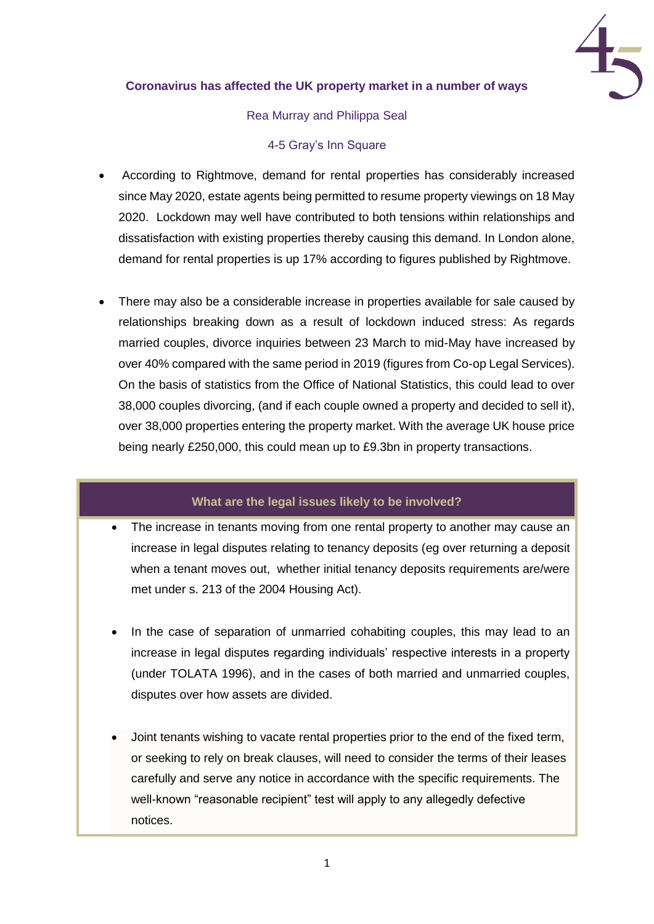

### **Coronavirus has affected the UK property market in a number of ways**

#### Rea Murray and Philippa Seal

#### 4-5 Gray's Inn Square

- According to Rightmove, demand for rental properties has considerably increased since May 2020, estate agents being permitted to resume property viewings on 18 May 2020. Lockdown may well have contributed to both tensions within relationships and dissatisfaction with existing properties thereby causing this demand. In London alone, demand for rental properties is up 17% according to figures published by Rightmove.
- There may also be a considerable increase in properties available for sale caused by relationships breaking down as a result of lockdown induced stress: As regards married couples, divorce inquiries between 23 March to mid-May have increased by over 40% compared with the same period in 2019 (figures from Co-op Legal Services). On the basis of statistics from the Office of National Statistics, this could lead to over 38,000 couples divorcing, (and if each couple owned a property and decided to sell it), over 38,000 properties entering the property market. With the average UK house price being nearly £250,000, this could mean up to £9.3bn in property transactions.

## **What are the legal issues likely to be involved?**

- The increase in tenants moving from one rental property to another may cause an increase in legal disputes relating to tenancy deposits (eg over returning a deposit when a tenant moves out, whether initial tenancy deposits requirements are/were met under s. 213 of the 2004 Housing Act).
- In the case of separation of unmarried cohabiting couples, this may lead to an increase in legal disputes regarding individuals' respective interests in a property (under TOLATA 1996), and in the cases of both married and unmarried couples, disputes over how assets are divided.
- Joint tenants wishing to vacate rental properties prior to the end of the fixed term, or seeking to rely on break clauses, will need to consider the terms of their leases carefully and serve any notice in accordance with the specific requirements. The well-known "reasonable recipient" test will apply to any allegedly defective notices.